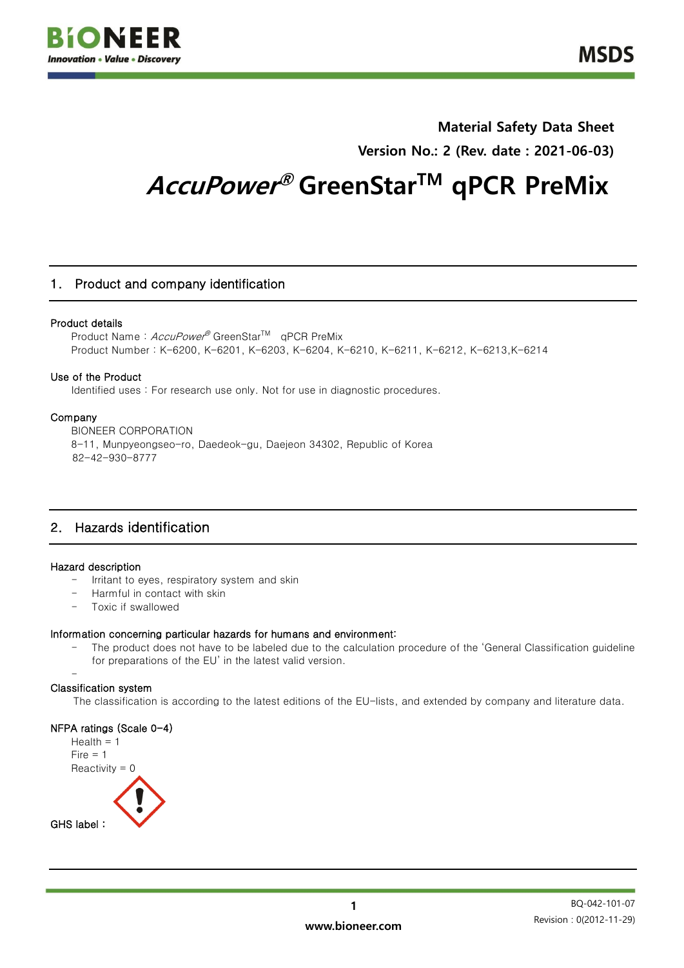

## **Material Safety Data Sheet Version No.: 2 (Rev. date : 2021-06-03)**

# **AccuPower ® GreenStarTM qPCR PreMix**

## 1. Product and company identification

## Product details

Product Name: AccuPower<sup>®</sup> GreenStar<sup>TM</sup> qPCR PreMix Product Number : K-6200, K-6201, K-6203, K-6204, K-6210, K-6211, K-6212, K-6213,K-6214

## Use of the Product

Identified uses : For research use only. Not for use in diagnostic procedures.

## Company

BIONEER CORPORATION 8-11, Munpyeongseo-ro, Daedeok-gu, Daejeon 34302, Republic of Korea 82-42-930-8777

## 2. Hazards identification

## Hazard description

- Irritant to eyes, respiratory system and skin
- Harmful in contact with skin
- Toxic if swallowed

## Information concerning particular hazards for humans and environment:

- The product does not have to be labeled due to the calculation procedure of the 'General Classification guideline for preparations of the EU' in the latest valid version.

#### - Classification system

The classification is according to the latest editions of the EU-lists, and extended by company and literature data.

## NFPA ratings (Scale 0-4)

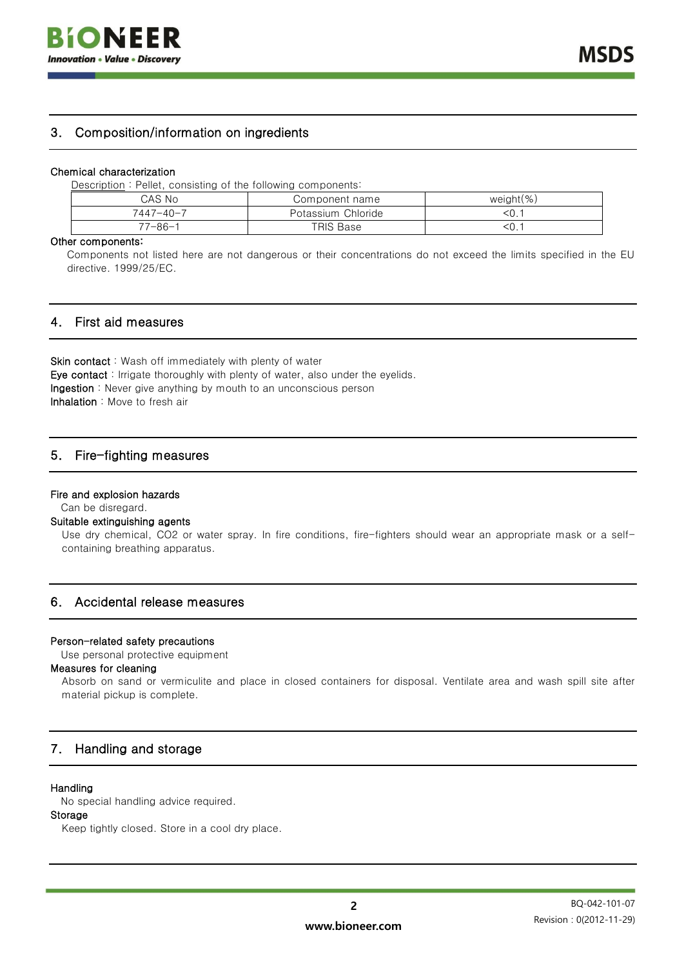## 3. Composition/information on ingredients

#### Chemical characterization

Description : Pellet, consisting of the following components:

| CAS No          | Component name     | weight $(\%)$ |
|-----------------|--------------------|---------------|
| $7447 - 40 - 7$ | Potassium Chloride | $\leq 0$ .    |
| 77-86-1         | TRIS Base          | < 0.          |

#### Other components:

Components not listed here are not dangerous or their concentrations do not exceed the limits specified in the EU directive. 1999/25/EC.

## 4. First aid measures

Skin contact: Wash off immediately with plenty of water Eye contact : Irrigate thoroughly with plenty of water, also under the eyelids. Ingestion : Never give anything by mouth to an unconscious person Inhalation : Move to fresh air

## 5. Fire-fighting measures

#### Fire and explosion hazards

Can be disregard.

#### Suitable extinguishing agents

Use dry chemical, CO2 or water spray. In fire conditions, fire-fighters should wear an appropriate mask or a selfcontaining breathing apparatus.

## 6. Accidental release measures

#### Person-related safety precautions

Use personal protective equipment

#### Measures for cleaning

Absorb on sand or vermiculite and place in closed containers for disposal. Ventilate area and wash spill site after material pickup is complete.

## 7. Handling and storage

## **Handling**

No special handling advice required.

## Storage

Keep tightly closed. Store in a cool dry place.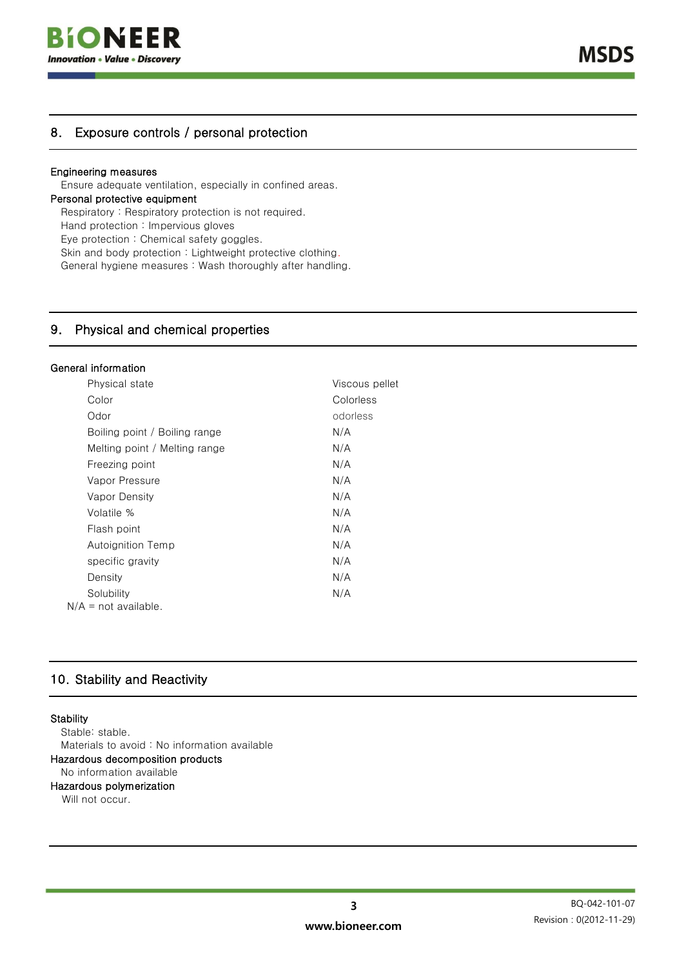

## 8. Exposure controls / personal protection

## Engineering measures

Ensure adequate ventilation, especially in confined areas.

#### Personal protective equipment

Respiratory : Respiratory protection is not required.

Hand protection : Impervious gloves

Eye protection : Chemical safety goggles.

Skin and body protection : Lightweight protective clothing.

General hygiene measures : Wash thoroughly after handling.

## 9. Physical and chemical properties

## General information

| Physical state                | Viscous pellet |
|-------------------------------|----------------|
| Color                         | Colorless      |
| Odor                          | odorless       |
| Boiling point / Boiling range | N/A            |
| Melting point / Melting range | N/A            |
| Freezing point                | N/A            |
| Vapor Pressure                | N/A            |
| <b>Vapor Density</b>          | N/A            |
| Volatile %                    | N/A            |
| Flash point                   | N/A            |
| Autoignition Temp             | N/A            |
| specific gravity              | N/A            |
| Density                       | N/A            |
| Solubility                    | N/A            |
| $N/A$ = not available.        |                |

## 10. Stability and Reactivity

#### **Stability**

Stable: stable. Materials to avoid : No information available Hazardous decomposition products No information available

## Hazardous polymerization

Will not occur.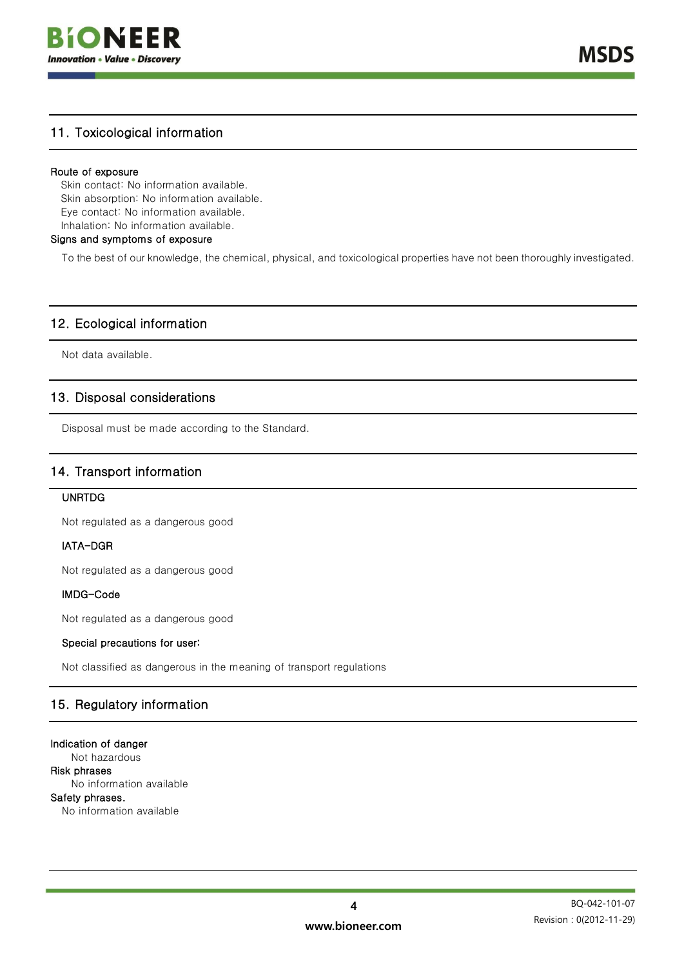

**MSDS** 

## 11. Toxicological information

## Route of exposure

Skin contact: No information available. Skin absorption: No information available. Eye contact: No information available. Inhalation: No information available.

## Signs and symptoms of exposure

To the best of our knowledge, the chemical, physical, and toxicological properties have not been thoroughly investigated.

## 12. Ecological information

Not data available.

## 13. Disposal considerations

Disposal must be made according to the Standard.

## 14. Transport information

## UNRTDG

Not regulated as a dangerous good

## IATA-DGR

Not regulated as a dangerous good

## IMDG-Code

Not regulated as a dangerous good

## Special precautions for user:

Not classified as dangerous in the meaning of transport regulations

## 15. Regulatory information

#### Indication of danger

Not hazardous Risk phrases No information available Safety phrases. No information available